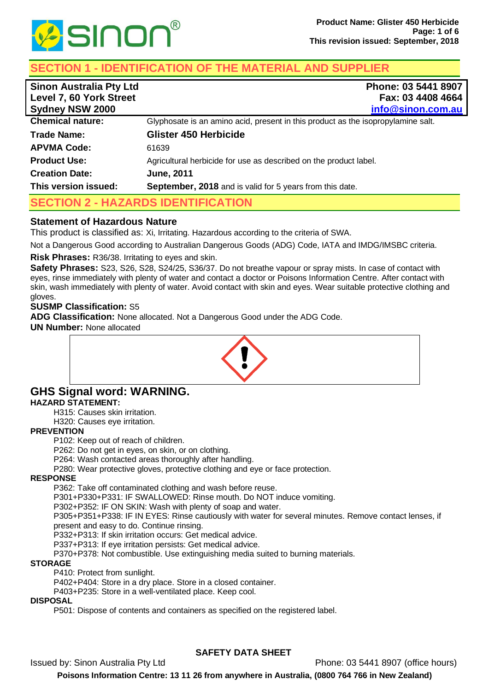

# **SECTION 1 - IDENTIFICATION OF THE MATERIAL AND SUPPLIER**

| <b>Sinon Australia Pty Ltd</b><br>Level 7, 60 York Street<br><b>Sydney NSW 2000</b> | Phone: 03 5441 8907<br>Fax: 03 4408 4664<br>info@sinon.com.au                    |  |
|-------------------------------------------------------------------------------------|----------------------------------------------------------------------------------|--|
| <b>Chemical nature:</b>                                                             | Glyphosate is an amino acid, present in this product as the isopropylamine salt. |  |
| Trade Name:                                                                         | <b>Glister 450 Herbicide</b>                                                     |  |
| <b>APVMA Code:</b>                                                                  | 61639                                                                            |  |
| <b>Product Use:</b>                                                                 | Agricultural herbicide for use as described on the product label.                |  |
| <b>Creation Date:</b>                                                               | <b>June, 2011</b>                                                                |  |
| This version issued:                                                                | <b>September, 2018</b> and is valid for 5 years from this date.                  |  |
| <b>SECTION 2 - HAZARDS IDENTIFICATION</b>                                           |                                                                                  |  |

## **Statement of Hazardous Nature**

This product is classified as: Xi, Irritating. Hazardous according to the criteria of SWA.

Not a Dangerous Good according to Australian Dangerous Goods (ADG) Code, IATA and IMDG/IMSBC criteria.

### **Risk Phrases:** R36/38. Irritating to eyes and skin.

**Safety Phrases:** S23, S26, S28, S24/25, S36/37. Do not breathe vapour or spray mists. In case of contact with eyes, rinse immediately with plenty of water and contact a doctor or Poisons Information Centre. After contact with skin, wash immediately with plenty of water. Avoid contact with skin and eyes. Wear suitable protective clothing and gloves.

## **SUSMP Classification:** S5

**ADG Classification:** None allocated. Not a Dangerous Good under the ADG Code.

**UN Number:** None allocated



## **GHS Signal word: WARNING. HAZARD STATEMENT:**

H315: Causes skin irritation.

H320: Causes eye irritation.

### **PREVENTION**

P102: Keep out of reach of children.

P262: Do not get in eyes, on skin, or on clothing.

P264: Wash contacted areas thoroughly after handling.

P280: Wear protective gloves, protective clothing and eye or face protection.

### **RESPONSE**

P362: Take off contaminated clothing and wash before reuse.

P301+P330+P331: IF SWALLOWED: Rinse mouth. Do NOT induce vomiting.

P302+P352: IF ON SKIN: Wash with plenty of soap and water.

P305+P351+P338: IF IN EYES: Rinse cautiously with water for several minutes. Remove contact lenses, if present and easy to do. Continue rinsing.

P332+P313: If skin irritation occurs: Get medical advice.

P337+P313: If eye irritation persists: Get medical advice.

P370+P378: Not combustible. Use extinguishing media suited to burning materials.

## **STORAGE**

P410: Protect from sunlight.

P402+P404: Store in a dry place. Store in a closed container.

P403+P235: Store in a well-ventilated place. Keep cool.

### **DISPOSAL**

P501: Dispose of contents and containers as specified on the registered label.

## **SAFETY DATA SHEET**

Issued by: Sinon Australia Pty Ltd Phone: 03 5441 8907 (office hours)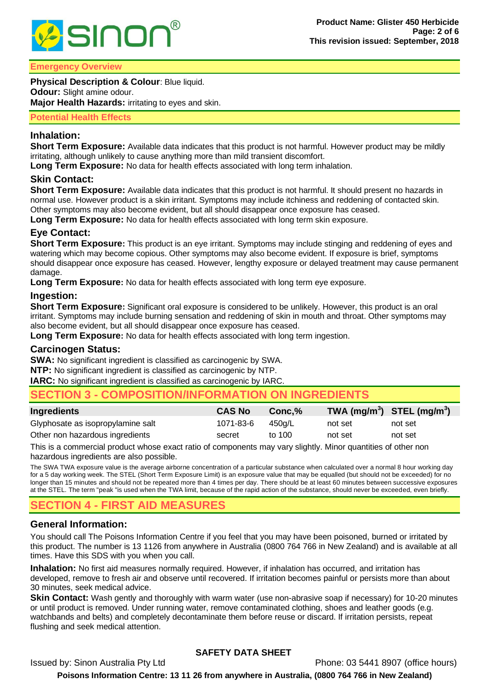

#### **Emergency Overview**

**Physical Description & Colour**: Blue liquid. **Odour:** Slight amine odour. **Major Health Hazards:** irritating to eyes and skin.

#### **Potential Health Effects**

## **Inhalation:**

**Short Term Exposure:** Available data indicates that this product is not harmful. However product may be mildly irritating, although unlikely to cause anything more than mild transient discomfort.

**Long Term Exposure:** No data for health effects associated with long term inhalation.

### **Skin Contact:**

**Short Term Exposure:** Available data indicates that this product is not harmful. It should present no hazards in normal use. However product is a skin irritant. Symptoms may include itchiness and reddening of contacted skin. Other symptoms may also become evident, but all should disappear once exposure has ceased.

**Long Term Exposure:** No data for health effects associated with long term skin exposure.

## **Eye Contact:**

**Short Term Exposure:** This product is an eye irritant. Symptoms may include stinging and reddening of eyes and watering which may become copious. Other symptoms may also become evident. If exposure is brief, symptoms should disappear once exposure has ceased. However, lengthy exposure or delayed treatment may cause permanent damage.

**Long Term Exposure:** No data for health effects associated with long term eye exposure.

### **Ingestion:**

**Short Term Exposure:** Significant oral exposure is considered to be unlikely. However, this product is an oral irritant. Symptoms may include burning sensation and reddening of skin in mouth and throat. Other symptoms may also become evident, but all should disappear once exposure has ceased.

**Long Term Exposure:** No data for health effects associated with long term ingestion.

### **Carcinogen Status:**

**SWA:** No significant ingredient is classified as carcinogenic by SWA.

**NTP:** No significant ingredient is classified as carcinogenic by NTP.

**IARC:** No significant ingredient is classified as carcinogenic by IARC.

## **SECTION 3 - COMPOSITION/INFORMATION ON INGREDIENTS**

| <b>Ingredients</b>                | <b>CAS No</b> | $Conc.\%$ | TWA $(mg/m^3)$ STEL $(mg/m^3)$ |         |
|-----------------------------------|---------------|-----------|--------------------------------|---------|
| Glyphosate as isopropylamine salt | 1071-83-6     | 450a/L    | not set                        | not set |
| Other non hazardous ingredients   | secret        | to 100    | not set                        | not set |

This is a commercial product whose exact ratio of components may vary slightly. Minor quantities of other non hazardous ingredients are also possible.

The SWA TWA exposure value is the average airborne concentration of a particular substance when calculated over a normal 8 hour working day for a 5 day working week. The STEL (Short Term Exposure Limit) is an exposure value that may be equalled (but should not be exceeded) for no longer than 15 minutes and should not be repeated more than 4 times per day. There should be at least 60 minutes between successive exposures at the STEL. The term "peak "is used when the TWA limit, because of the rapid action of the substance, should never be exceeded, even briefly.

# **SECTION 4 - FIRST AID MEASURES**

## **General Information:**

You should call The Poisons Information Centre if you feel that you may have been poisoned, burned or irritated by this product. The number is 13 1126 from anywhere in Australia (0800 764 766 in New Zealand) and is available at all times. Have this SDS with you when you call.

**Inhalation:** No first aid measures normally required. However, if inhalation has occurred, and irritation has developed, remove to fresh air and observe until recovered. If irritation becomes painful or persists more than about 30 minutes, seek medical advice.

**Skin Contact:** Wash gently and thoroughly with warm water (use non-abrasive soap if necessary) for 10-20 minutes or until product is removed. Under running water, remove contaminated clothing, shoes and leather goods (e.g. watchbands and belts) and completely decontaminate them before reuse or discard. If irritation persists, repeat flushing and seek medical attention.

## **SAFETY DATA SHEET**

Issued by: Sinon Australia Pty Ltd Phone: 03 5441 8907 (office hours) **Poisons Information Centre: 13 11 26 from anywhere in Australia, (0800 764 766 in New Zealand)**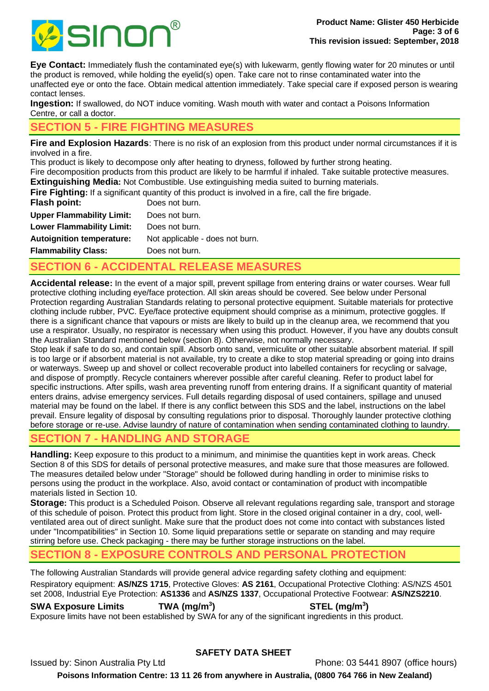

**Eye Contact:** Immediately flush the contaminated eye(s) with lukewarm, gently flowing water for 20 minutes or until the product is removed, while holding the eyelid(s) open. Take care not to rinse contaminated water into the unaffected eye or onto the face. Obtain medical attention immediately. Take special care if exposed person is wearing contact lenses.

**Ingestion:** If swallowed, do NOT induce vomiting. Wash mouth with water and contact a Poisons Information Centre, or call a doctor.

# **SECTION 5 - FIRE FIGHTING MEASURES**

**Fire and Explosion Hazards**: There is no risk of an explosion from this product under normal circumstances if it is involved in a fire.

This product is likely to decompose only after heating to dryness, followed by further strong heating.

Fire decomposition products from this product are likely to be harmful if inhaled. Take suitable protective measures. **Extinguishing Media:** Not Combustible. Use extinguishing media suited to burning materials.

Fire Fighting: If a significant quantity of this product is involved in a fire, call the fire brigade.

| <b>Flash point:</b>              | Does not burn.                  |
|----------------------------------|---------------------------------|
| <b>Upper Flammability Limit:</b> | Does not burn.                  |
| <b>Lower Flammability Limit:</b> | Does not burn.                  |
| <b>Autoignition temperature:</b> | Not applicable - does not burn. |
| <b>Flammability Class:</b>       | Does not burn.                  |

# **SECTION 6 - ACCIDENTAL RELEASE MEASURES**

**Accidental release:** In the event of a major spill, prevent spillage from entering drains or water courses. Wear full protective clothing including eye/face protection. All skin areas should be covered. See below under Personal Protection regarding Australian Standards relating to personal protective equipment. Suitable materials for protective clothing include rubber, PVC. Eye/face protective equipment should comprise as a minimum, protective goggles. If there is a significant chance that vapours or mists are likely to build up in the cleanup area, we recommend that you use a respirator. Usually, no respirator is necessary when using this product. However, if you have any doubts consult the Australian Standard mentioned below (section 8). Otherwise, not normally necessary.

Stop leak if safe to do so, and contain spill. Absorb onto sand, vermiculite or other suitable absorbent material. If spill is too large or if absorbent material is not available, try to create a dike to stop material spreading or going into drains or waterways. Sweep up and shovel or collect recoverable product into labelled containers for recycling or salvage, and dispose of promptly. Recycle containers wherever possible after careful cleaning. Refer to product label for specific instructions. After spills, wash area preventing runoff from entering drains. If a significant quantity of material enters drains, advise emergency services. Full details regarding disposal of used containers, spillage and unused material may be found on the label. If there is any conflict between this SDS and the label, instructions on the label prevail. Ensure legality of disposal by consulting regulations prior to disposal. Thoroughly launder protective clothing before storage or re-use. Advise laundry of nature of contamination when sending contaminated clothing to laundry.

# **SECTION 7 - HANDLING AND STORAGE**

**Handling:** Keep exposure to this product to a minimum, and minimise the quantities kept in work areas. Check Section 8 of this SDS for details of personal protective measures, and make sure that those measures are followed. The measures detailed below under "Storage" should be followed during handling in order to minimise risks to persons using the product in the workplace. Also, avoid contact or contamination of product with incompatible materials listed in Section 10.

**Storage:** This product is a Scheduled Poison. Observe all relevant regulations regarding sale, transport and storage of this schedule of poison. Protect this product from light. Store in the closed original container in a dry, cool, wellventilated area out of direct sunlight. Make sure that the product does not come into contact with substances listed under "Incompatibilities" in Section 10. Some liquid preparations settle or separate on standing and may require stirring before use. Check packaging - there may be further storage instructions on the label.

# **SECTION 8 - EXPOSURE CONTROLS AND PERSONAL PROTECTION**

The following Australian Standards will provide general advice regarding safety clothing and equipment: Respiratory equipment: **AS/NZS 1715**, Protective Gloves: **AS 2161**, Occupational Protective Clothing: AS/NZS 4501 set 2008, Industrial Eye Protection: **AS1336** and **AS/NZS 1337**, Occupational Protective Footwear: **AS/NZS2210**.

**SWA Exposure Limits TWA (mg/m<sup>3</sup> ) STEL (mg/m<sup>3</sup> )** Exposure limits have not been established by SWA for any of the significant ingredients in this product.

## **SAFETY DATA SHEET**

Issued by: Sinon Australia Pty Ltd Phone: 03 5441 8907 (office hours)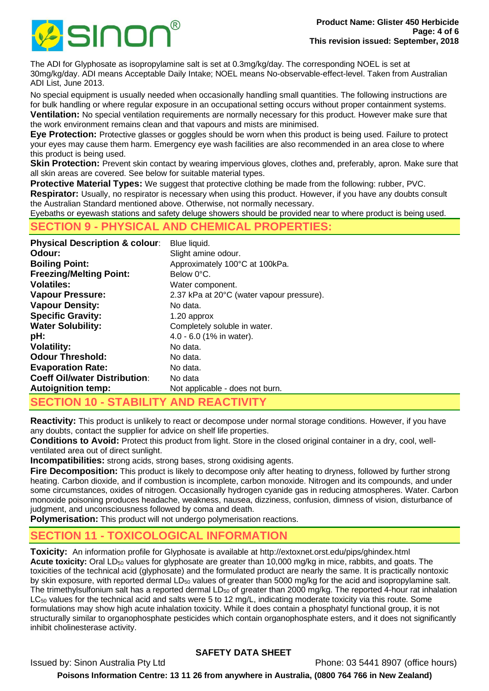

The ADI for Glyphosate as isopropylamine salt is set at 0.3mg/kg/day. The corresponding NOEL is set at 30mg/kg/day. ADI means Acceptable Daily Intake; NOEL means No-observable-effect-level. Taken from Australian ADI List, June 2013.

No special equipment is usually needed when occasionally handling small quantities. The following instructions are for bulk handling or where regular exposure in an occupational setting occurs without proper containment systems. **Ventilation:** No special ventilation requirements are normally necessary for this product. However make sure that the work environment remains clean and that vapours and mists are minimised.

**Eye Protection:** Protective glasses or goggles should be worn when this product is being used. Failure to protect your eyes may cause them harm. Emergency eye wash facilities are also recommended in an area close to where this product is being used.

**Skin Protection:** Prevent skin contact by wearing impervious gloves, clothes and, preferably, apron. Make sure that all skin areas are covered. See below for suitable material types.

**Protective Material Types:** We suggest that protective clothing be made from the following: rubber, PVC. **Respirator:** Usually, no respirator is necessary when using this product. However, if you have any doubts consult the Australian Standard mentioned above. Otherwise, not normally necessary.

Eyebaths or eyewash stations and safety deluge showers should be provided near to where product is being used.

## **SECTION 9 - PHYSICAL AND CHEMICAL PROPERTIES:**

| <b>Physical Description &amp; colour:</b> | Blue liquid.                              |
|-------------------------------------------|-------------------------------------------|
| Odour:                                    | Slight amine odour.                       |
| <b>Boiling Point:</b>                     | Approximately 100°C at 100kPa.            |
| <b>Freezing/Melting Point:</b>            | Below 0°C.                                |
| <b>Volatiles:</b>                         | Water component.                          |
| <b>Vapour Pressure:</b>                   | 2.37 kPa at 20°C (water vapour pressure). |
| <b>Vapour Density:</b>                    | No data.                                  |
| <b>Specific Gravity:</b>                  | 1.20 approx                               |
| <b>Water Solubility:</b>                  | Completely soluble in water.              |
| pH:                                       | 4.0 - 6.0 (1% in water).                  |
| <b>Volatility:</b>                        | No data.                                  |
| <b>Odour Threshold:</b>                   | No data.                                  |
| <b>Evaporation Rate:</b>                  | No data.                                  |
| <b>Coeff Oil/water Distribution:</b>      | No data                                   |
| <b>Autoignition temp:</b>                 | Not applicable - does not burn.           |
| CECTION 40 CTADILITY AND BEACTIVITY       |                                           |

**SECTION 10 - STABILITY AND REACTIVITY**

**Reactivity:** This product is unlikely to react or decompose under normal storage conditions. However, if you have any doubts, contact the supplier for advice on shelf life properties.

**Conditions to Avoid:** Protect this product from light. Store in the closed original container in a dry, cool, wellventilated area out of direct sunlight.

**Incompatibilities:** strong acids, strong bases, strong oxidising agents.

**Fire Decomposition:** This product is likely to decompose only after heating to dryness, followed by further strong heating. Carbon dioxide, and if combustion is incomplete, carbon monoxide. Nitrogen and its compounds, and under some circumstances, oxides of nitrogen. Occasionally hydrogen cyanide gas in reducing atmospheres. Water. Carbon monoxide poisoning produces headache, weakness, nausea, dizziness, confusion, dimness of vision, disturbance of judgment, and unconsciousness followed by coma and death.

**Polymerisation:** This product will not undergo polymerisation reactions.

# **SECTION 11 - TOXICOLOGICAL INFORMATION**

**Toxicity:** An information profile for Glyphosate is available at http://extoxnet.orst.edu/pips/ghindex.html **Acute toxicity:** Oral LD<sub>50</sub> values for glyphosate are greater than 10,000 mg/kg in mice, rabbits, and goats. The toxicities of the technical acid (glyphosate) and the formulated product are nearly the same. It is practically nontoxic by skin exposure, with reported dermal LD<sub>50</sub> values of greater than 5000 mg/kg for the acid and isopropylamine salt. The trimethylsulfonium salt has a reported dermal  $LD_{50}$  of greater than 2000 mg/kg. The reported 4-hour rat inhalation LC<sub>50</sub> values for the technical acid and salts were 5 to 12 mg/L, indicating moderate toxicity via this route. Some formulations may show high acute inhalation toxicity. While it does contain a phosphatyl functional group, it is not structurally similar to organophosphate pesticides which contain organophosphate esters, and it does not significantly inhibit cholinesterase activity.

## **SAFETY DATA SHEET**

Issued by: Sinon Australia Pty Ltd Phone: 03 5441 8907 (office hours)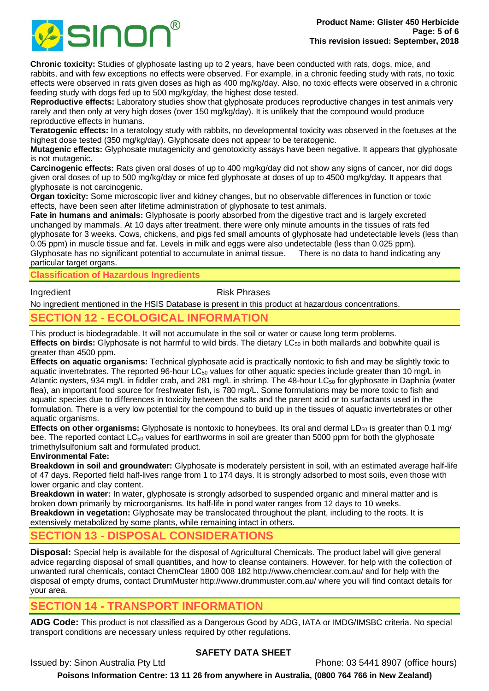

**Chronic toxicity:** Studies of glyphosate lasting up to 2 years, have been conducted with rats, dogs, mice, and rabbits, and with few exceptions no effects were observed. For example, in a chronic feeding study with rats, no toxic effects were observed in rats given doses as high as 400 mg/kg/day. Also, no toxic effects were observed in a chronic feeding study with dogs fed up to 500 mg/kg/day, the highest dose tested.

**Reproductive effects:** Laboratory studies show that glyphosate produces reproductive changes in test animals very rarely and then only at very high doses (over 150 mg/kg/day). It is unlikely that the compound would produce reproductive effects in humans.

**Teratogenic effects:** In a teratology study with rabbits, no developmental toxicity was observed in the foetuses at the highest dose tested (350 mg/kg/day). Glyphosate does not appear to be teratogenic.

**Mutagenic effects:** Glyphosate mutagenicity and genotoxicity assays have been negative. It appears that glyphosate is not mutagenic.

**Carcinogenic effects:** Rats given oral doses of up to 400 mg/kg/day did not show any signs of cancer, nor did dogs given oral doses of up to 500 mg/kg/day or mice fed glyphosate at doses of up to 4500 mg/kg/day. It appears that glyphosate is not carcinogenic.

**Organ toxicity:** Some microscopic liver and kidney changes, but no observable differences in function or toxic effects, have been seen after lifetime administration of glyphosate to test animals.

**Fate in humans and animals:** Glyphosate is poorly absorbed from the digestive tract and is largely excreted unchanged by mammals. At 10 days after treatment, there were only minute amounts in the tissues of rats fed glyphosate for 3 weeks. Cows, chickens, and pigs fed small amounts of glyphosate had undetectable levels (less than 0.05 ppm) in muscle tissue and fat. Levels in milk and eggs were also undetectable (less than 0.025 ppm). Glyphosate has no significant potential to accumulate in animal tissue. There is no data to hand indicating any particular target organs.

**Classification of Hazardous Ingredients**

Ingredient **Risk Phrases** 

No ingredient mentioned in the HSIS Database is present in this product at hazardous concentrations.

# **SECTION 12 - ECOLOGICAL INFORMATION**

This product is biodegradable. It will not accumulate in the soil or water or cause long term problems. **Effects on birds:** Glyphosate is not harmful to wild birds. The dietary LC<sup>50</sup> in both mallards and bobwhite quail is greater than 4500 ppm.

**Effects on aquatic organisms:** Technical glyphosate acid is practically nontoxic to fish and may be slightly toxic to aquatic invertebrates. The reported 96-hour  $LC_{50}$  values for other aquatic species include greater than 10 mg/L in Atlantic oysters, 934 mg/L in fiddler crab, and 281 mg/L in shrimp. The 48-hour LC<sub>50</sub> for glyphosate in Daphnia (water flea), an important food source for freshwater fish, is 780 mg/L. Some formulations may be more toxic to fish and aquatic species due to differences in toxicity between the salts and the parent acid or to surfactants used in the formulation. There is a very low potential for the compound to build up in the tissues of aquatic invertebrates or other aquatic organisms.

**Effects on other organisms:** Glyphosate is nontoxic to honeybees. Its oral and dermal LD<sub>50</sub> is greater than 0.1 mg/ bee. The reported contact LC<sub>50</sub> values for earthworms in soil are greater than 5000 ppm for both the glyphosate trimethylsulfonium salt and formulated product.

### **Environmental Fate:**

**Breakdown in soil and groundwater:** Glyphosate is moderately persistent in soil, with an estimated average half-life of 47 days. Reported field half-lives range from 1 to 174 days. It is strongly adsorbed to most soils, even those with lower organic and clay content.

**Breakdown in water:** In water, glyphosate is strongly adsorbed to suspended organic and mineral matter and is broken down primarily by microorganisms. Its half-life in pond water ranges from 12 days to 10 weeks. **Breakdown in vegetation:** Glyphosate may be translocated throughout the plant, including to the roots. It is extensively metabolized by some plants, while remaining intact in others.

## **SECTION 13 - DISPOSAL CONSIDERATIONS**

**Disposal:** Special help is available for the disposal of Agricultural Chemicals. The product label will give general advice regarding disposal of small quantities, and how to cleanse containers. However, for help with the collection of unwanted rural chemicals, contact ChemClear 1800 008 182 http://www.chemclear.com.au/ and for help with the disposal of empty drums, contact DrumMuster http://www.drummuster.com.au/ where you will find contact details for your area.

## **SECTION 14 - TRANSPORT INFORMATION**

**ADG Code:** This product is not classified as a Dangerous Good by ADG, IATA or IMDG/IMSBC criteria. No special transport conditions are necessary unless required by other regulations.

## **SAFETY DATA SHEET**

Issued by: Sinon Australia Pty Ltd Phone: 03 5441 8907 (office hours)